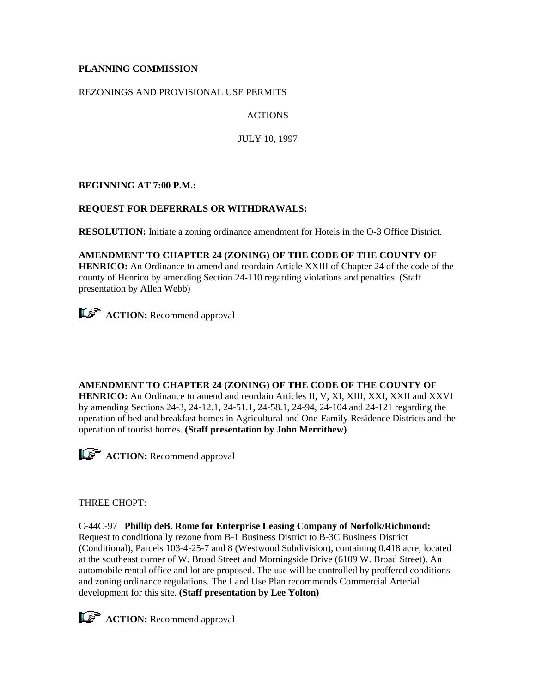## **PLANNING COMMISSION**

### REZONINGS AND PROVISIONAL USE PERMITS

# ACTIONS

JULY 10, 1997

**BEGINNING AT 7:00 P.M.:**

#### **REQUEST FOR DEFERRALS OR WITHDRAWALS:**

**RESOLUTION:** Initiate a zoning ordinance amendment for Hotels in the O-3 Office District.

## **AMENDMENT TO CHAPTER 24 (ZONING) OF THE CODE OF THE COUNTY OF**

**HENRICO:** An Ordinance to amend and reordain Article XXIII of Chapter 24 of the code of the county of Henrico by amending Section 24-110 regarding violations and penalties. (Staff presentation by Allen Webb)



*<b>ACTION:* Recommend approval

## **AMENDMENT TO CHAPTER 24 (ZONING) OF THE CODE OF THE COUNTY OF**

**HENRICO:** An Ordinance to amend and reordain Articles II, V, XI, XIII, XXI, XXII and XXVI by amending Sections 24-3, 24-12.1, 24-51.1, 24-58.1, 24-94, 24-104 and 24-121 regarding the operation of bed and breakfast homes in Agricultural and One-Family Residence Districts and the operation of tourist homes. **(Staff presentation by John Merrithew)**

*ACTION:* Recommend approval

THREE CHOPT:

C-44C-97 **Phillip deB. Rome for Enterprise Leasing Company of Norfolk/Richmond:** Request to conditionally rezone from B-1 Business District to B-3C Business District (Conditional), Parcels 103-4-25-7 and 8 (Westwood Subdivision), containing 0.418 acre, located at the southeast corner of W. Broad Street and Morningside Drive (6109 W. Broad Street). An automobile rental office and lot are proposed. The use will be controlled by proffered conditions and zoning ordinance regulations. The Land Use Plan recommends Commercial Arterial development for this site. **(Staff presentation by Lee Yolton)**

*ACTION:* Recommend approval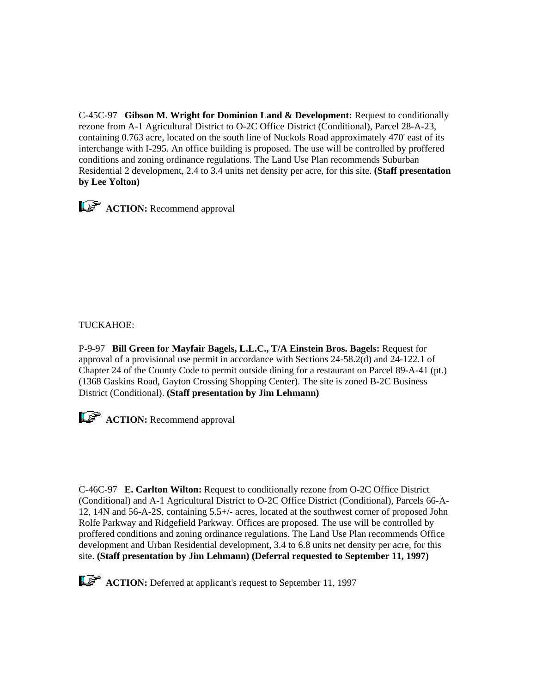C-45C-97 **Gibson M. Wright for Dominion Land & Development:** Request to conditionally rezone from A-1 Agricultural District to O-2C Office District (Conditional), Parcel 28-A-23, containing 0.763 acre, located on the south line of Nuckols Road approximately 470' east of its interchange with I-295. An office building is proposed. The use will be controlled by proffered conditions and zoning ordinance regulations. The Land Use Plan recommends Suburban Residential 2 development, 2.4 to 3.4 units net density per acre, for this site. **(Staff presentation by Lee Yolton)**

*ACTION:* Recommend approval

TUCKAHOE:

P-9-97 **Bill Green for Mayfair Bagels, L.L.C., T/A Einstein Bros. Bagels:** Request for approval of a provisional use permit in accordance with Sections 24-58.2(d) and 24-122.1 of Chapter 24 of the County Code to permit outside dining for a restaurant on Parcel 89-A-41 (pt.) (1368 Gaskins Road, Gayton Crossing Shopping Center). The site is zoned B-2C Business District (Conditional). **(Staff presentation by Jim Lehmann)**



*ACTION:* Recommend approval

C-46C-97 **E. Carlton Wilton:** Request to conditionally rezone from O-2C Office District (Conditional) and A-1 Agricultural District to O-2C Office District (Conditional), Parcels 66-A-12, 14N and 56-A-2S, containing 5.5+/- acres, located at the southwest corner of proposed John Rolfe Parkway and Ridgefield Parkway. Offices are proposed. The use will be controlled by proffered conditions and zoning ordinance regulations. The Land Use Plan recommends Office development and Urban Residential development, 3.4 to 6.8 units net density per acre, for this site. **(Staff presentation by Jim Lehmann) (Deferral requested to September 11, 1997)**

*ACTION:* Deferred at applicant's request to September 11, 1997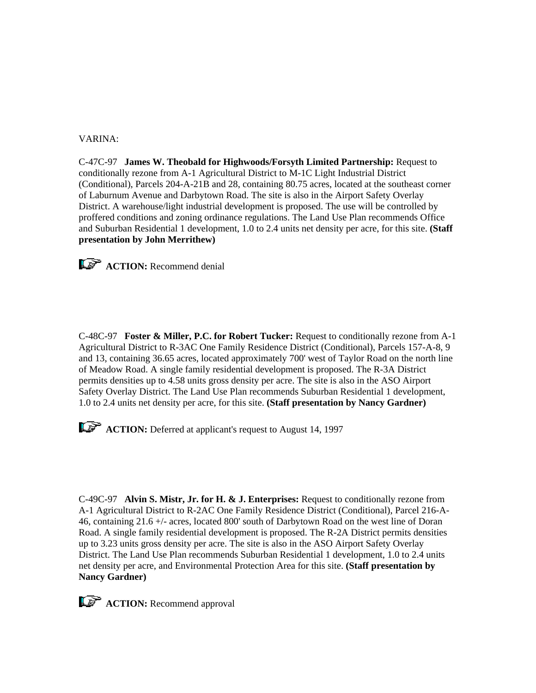#### VARINA:

C-47C-97 **James W. Theobald for Highwoods/Forsyth Limited Partnership:** Request to conditionally rezone from A-1 Agricultural District to M-1C Light Industrial District (Conditional), Parcels 204-A-21B and 28, containing 80.75 acres, located at the southeast corner of Laburnum Avenue and Darbytown Road. The site is also in the Airport Safety Overlay District. A warehouse/light industrial development is proposed. The use will be controlled by proffered conditions and zoning ordinance regulations. The Land Use Plan recommends Office and Suburban Residential 1 development, 1.0 to 2.4 units net density per acre, for this site. **(Staff presentation by John Merrithew)**

*ACTION:* Recommend denial

C-48C-97 **Foster & Miller, P.C. for Robert Tucker:** Request to conditionally rezone from A-1 Agricultural District to R-3AC One Family Residence District (Conditional), Parcels 157-A-8, 9 and 13, containing 36.65 acres, located approximately 700' west of Taylor Road on the north line of Meadow Road. A single family residential development is proposed. The R-3A District permits densities up to 4.58 units gross density per acre. The site is also in the ASO Airport Safety Overlay District. The Land Use Plan recommends Suburban Residential 1 development, 1.0 to 2.4 units net density per acre, for this site. **(Staff presentation by Nancy Gardner)**

**ACTION:** Deferred at applicant's request to August 14, 1997

C-49C-97 **Alvin S. Mistr, Jr. for H. & J. Enterprises:** Request to conditionally rezone from A-1 Agricultural District to R-2AC One Family Residence District (Conditional), Parcel 216-A-46, containing 21.6 +/- acres, located 800' south of Darbytown Road on the west line of Doran Road. A single family residential development is proposed. The R-2A District permits densities up to 3.23 units gross density per acre. The site is also in the ASO Airport Safety Overlay District. The Land Use Plan recommends Suburban Residential 1 development, 1.0 to 2.4 units net density per acre, and Environmental Protection Area for this site. **(Staff presentation by Nancy Gardner)**

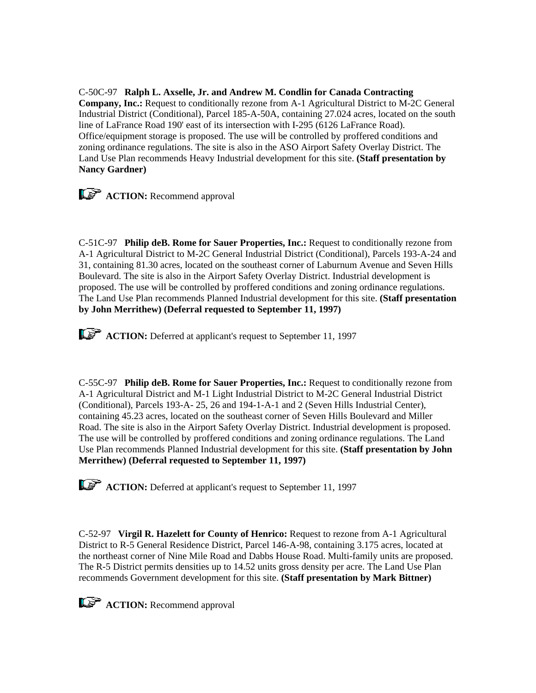C-50C-97 **Ralph L. Axselle, Jr. and Andrew M. Condlin for Canada Contracting Company, Inc.:** Request to conditionally rezone from A-1 Agricultural District to M-2C General Industrial District (Conditional), Parcel 185-A-50A, containing 27.024 acres, located on the south line of LaFrance Road 190' east of its intersection with I-295 (6126 LaFrance Road). Office/equipment storage is proposed. The use will be controlled by proffered conditions and zoning ordinance regulations. The site is also in the ASO Airport Safety Overlay District. The Land Use Plan recommends Heavy Industrial development for this site. **(Staff presentation by Nancy Gardner)**

*ACTION:* Recommend approval

C-51C-97 **Philip deB. Rome for Sauer Properties, Inc.:** Request to conditionally rezone from A-1 Agricultural District to M-2C General Industrial District (Conditional), Parcels 193-A-24 and 31, containing 81.30 acres, located on the southeast corner of Laburnum Avenue and Seven Hills Boulevard. The site is also in the Airport Safety Overlay District. Industrial development is proposed. The use will be controlled by proffered conditions and zoning ordinance regulations. The Land Use Plan recommends Planned Industrial development for this site. **(Staff presentation by John Merrithew) (Deferral requested to September 11, 1997)**

*CF* **ACTION:** Deferred at applicant's request to September 11, 1997

C-55C-97 **Philip deB. Rome for Sauer Properties, Inc.:** Request to conditionally rezone from A-1 Agricultural District and M-1 Light Industrial District to M-2C General Industrial District (Conditional), Parcels 193-A- 25, 26 and 194-1-A-1 and 2 (Seven Hills Industrial Center), containing 45.23 acres, located on the southeast corner of Seven Hills Boulevard and Miller Road. The site is also in the Airport Safety Overlay District. Industrial development is proposed. The use will be controlled by proffered conditions and zoning ordinance regulations. The Land Use Plan recommends Planned Industrial development for this site. **(Staff presentation by John Merrithew) (Deferral requested to September 11, 1997)**

*ACTION:* Deferred at applicant's request to September 11, 1997

C-52-97 **Virgil R. Hazelett for County of Henrico:** Request to rezone from A-1 Agricultural District to R-5 General Residence District, Parcel 146-A-98, containing 3.175 acres, located at the northeast corner of Nine Mile Road and Dabbs House Road. Multi-family units are proposed. The R-5 District permits densities up to 14.52 units gross density per acre. The Land Use Plan recommends Government development for this site. **(Staff presentation by Mark Bittner)**

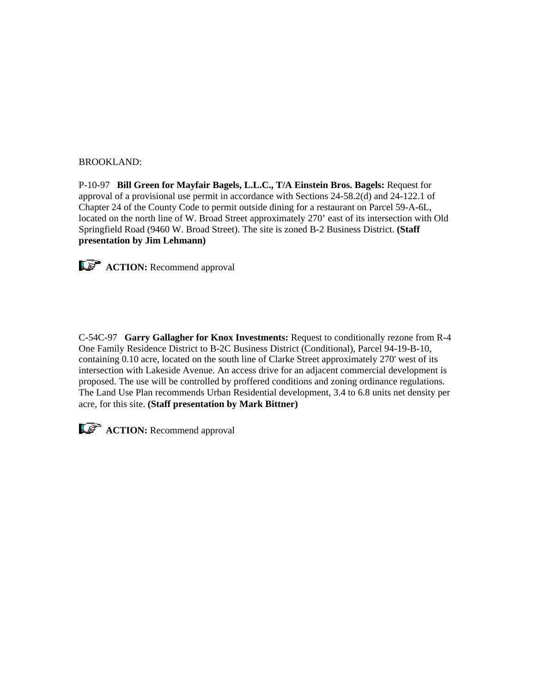#### BROOKLAND:

P-10-97 **Bill Green for Mayfair Bagels, L.L.C., T/A Einstein Bros. Bagels:** Request for approval of a provisional use permit in accordance with Sections 24-58.2(d) and 24-122.1 of Chapter 24 of the County Code to permit outside dining for a restaurant on Parcel 59-A-6L, located on the north line of W. Broad Street approximately 270' east of its intersection with Old Springfield Road (9460 W. Broad Street). The site is zoned B-2 Business District. **(Staff presentation by Jim Lehmann)**

*ACTION:* Recommend approval

C-54C-97 **Garry Gallagher for Knox Investments:** Request to conditionally rezone from R-4 One Family Residence District to B-2C Business District (Conditional), Parcel 94-19-B-10, containing 0.10 acre, located on the south line of Clarke Street approximately 270' west of its intersection with Lakeside Avenue. An access drive for an adjacent commercial development is proposed. The use will be controlled by proffered conditions and zoning ordinance regulations. The Land Use Plan recommends Urban Residential development, 3.4 to 6.8 units net density per acre, for this site. **(Staff presentation by Mark Bittner)**



*ACTION:* Recommend approval